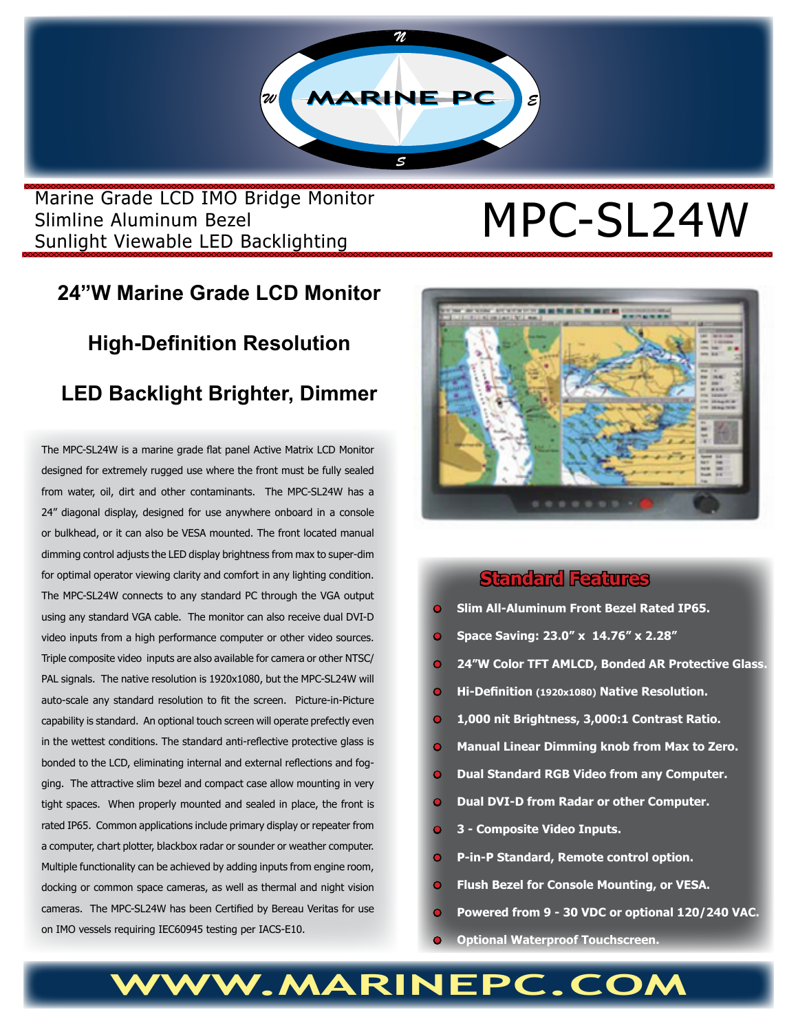

Marine Grade LCD IMO Bridge Monitor<br>Slimline Aluminum Bezel<br>Contained MPC-SL24W Slimline Aluminum Bezel Sunlight Viewable LED Backlighting

## **24"W Marine Grade LCD Monitor**

## **High-Definition Resolution**

### **LED Backlight Brighter, Dimmer**

The MPC-SL24W is a marine grade flat panel Active Matrix LCD Monitor designed for extremely rugged use where the front must be fully sealed from water, oil, dirt and other contaminants. The MPC-SL24W has a 24" diagonal display, designed for use anywhere onboard in a console or bulkhead, or it can also be VESA mounted. The front located manual dimming control adjusts the LED display brightness from max to super-dim for optimal operator viewing clarity and comfort in any lighting condition. The MPC-SL24W connects to any standard PC through the VGA output using any standard VGA cable. The monitor can also receive dual DVI-D video inputs from a high performance computer or other video sources. Triple composite video inputs are also available for camera or other NTSC/ PAL signals. The native resolution is 1920x1080, but the MPC-SL24W will auto-scale any standard resolution to fit the screen. Picture-in-Picture capability is standard. An optional touch screen will operate prefectly even in the wettest conditions. The standard anti-reflective protective glass is bonded to the LCD, eliminating internal and external reflections and fogging. The attractive slim bezel and compact case allow mounting in very tight spaces. When properly mounted and sealed in place, the front is rated IP65. Common applications include primary display or repeater from a computer, chart plotter, blackbox radar or sounder or weather computer. Multiple functionality can be achieved by adding inputs from engine room, docking or common space cameras, as well as thermal and night vision cameras. The MPC-SL24W has been Certified by Bereau Veritas for use on IMO vessels requiring IEC60945 testing per IACS-E10.



#### **Standard Features**

- **• Slim All-Aluminum Front Bezel Rated IP65.**
- **• Space Saving: 23.0" x 14.76" x 2.28"**
- **• 24"W Color TFT AMLCD, Bonded AR Protective Glass.**
- **• Hi-Definition (1920x1080) Native Resolution.**
- **• 1,000 nit Brightness, 3,000:1 Contrast Ratio.**
- **• Manual Linear Dimming knob from Max to Zero.**
- **Dual Standard RGB Video from any Computer.**
- **• Dual DVI-D from Radar or other Computer.**
- **• 3 Composite Video Inputs.**
- **• P-in-P Standard, Remote control option.**
- **• Flush Bezel for Console Mounting, or VESA.**
- **• Powered from 9 30 VDC or optional 120/240 VAC.**
- **• Optional Waterproof Touchscreen.**

## **WWW.MARINEPC.COM**